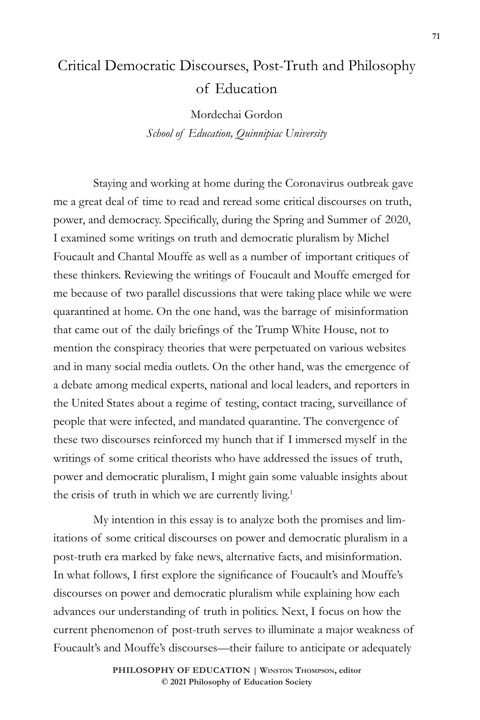# Critical Democratic Discourses, Post-Truth and Philosophy of Education

Mordechai Gordon *School of Education, Quinnipiac University*

Staying and working at home during the Coronavirus outbreak gave me a great deal of time to read and reread some critical discourses on truth, power, and democracy. Specifically, during the Spring and Summer of 2020, I examined some writings on truth and democratic pluralism by Michel Foucault and Chantal Mouffe as well as a number of important critiques of these thinkers. Reviewing the writings of Foucault and Mouffe emerged for me because of two parallel discussions that were taking place while we were quarantined at home. On the one hand, was the barrage of misinformation that came out of the daily briefings of the Trump White House, not to mention the conspiracy theories that were perpetuated on various websites and in many social media outlets. On the other hand, was the emergence of a debate among medical experts, national and local leaders, and reporters in the United States about a regime of testing, contact tracing, surveillance of people that were infected, and mandated quarantine. The convergence of these two discourses reinforced my hunch that if I immersed myself in the writings of some critical theorists who have addressed the issues of truth, power and democratic pluralism, I might gain some valuable insights about the crisis of truth in which we are currently living.1

My intention in this essay is to analyze both the promises and limitations of some critical discourses on power and democratic pluralism in a post-truth era marked by fake news, alternative facts, and misinformation. In what follows, I first explore the significance of Foucault's and Mouffe's discourses on power and democratic pluralism while explaining how each advances our understanding of truth in politics. Next, I focus on how the current phenomenon of post-truth serves to illuminate a major weakness of Foucault's and Mouffe's discourses—their failure to anticipate or adequately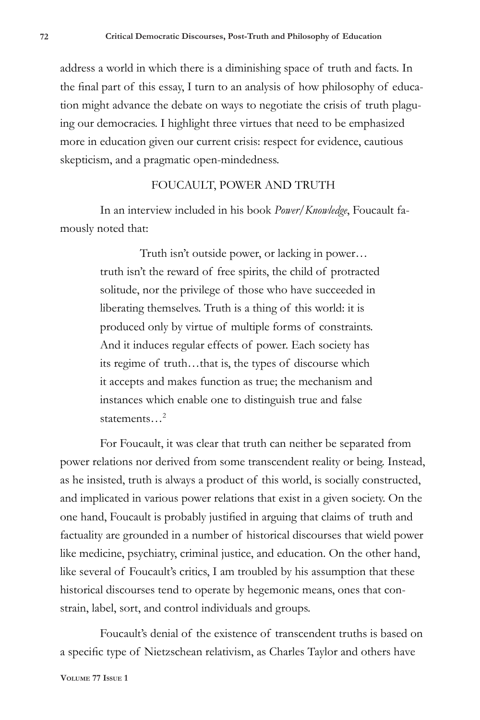address a world in which there is a diminishing space of truth and facts. In the final part of this essay, I turn to an analysis of how philosophy of education might advance the debate on ways to negotiate the crisis of truth plaguing our democracies. I highlight three virtues that need to be emphasized more in education given our current crisis: respect for evidence, cautious skepticism, and a pragmatic open-mindedness.

## FOUCAULT, POWER AND TRUTH

In an interview included in his book *Power/Knowledge*, Foucault famously noted that:

> Truth isn't outside power, or lacking in power… truth isn't the reward of free spirits, the child of protracted solitude, nor the privilege of those who have succeeded in liberating themselves. Truth is a thing of this world: it is produced only by virtue of multiple forms of constraints. And it induces regular effects of power. Each society has its regime of truth…that is, the types of discourse which it accepts and makes function as true; the mechanism and instances which enable one to distinguish true and false statements $<sup>2</sup>$ </sup>

For Foucault, it was clear that truth can neither be separated from power relations nor derived from some transcendent reality or being. Instead, as he insisted, truth is always a product of this world, is socially constructed, and implicated in various power relations that exist in a given society. On the one hand, Foucault is probably justified in arguing that claims of truth and factuality are grounded in a number of historical discourses that wield power like medicine, psychiatry, criminal justice, and education. On the other hand, like several of Foucault's critics, I am troubled by his assumption that these historical discourses tend to operate by hegemonic means, ones that constrain, label, sort, and control individuals and groups.

Foucault's denial of the existence of transcendent truths is based on a specific type of Nietzschean relativism, as Charles Taylor and others have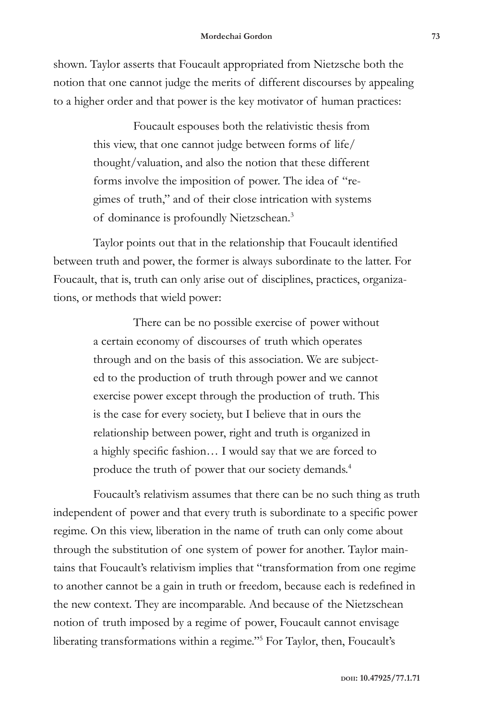shown. Taylor asserts that Foucault appropriated from Nietzsche both the notion that one cannot judge the merits of different discourses by appealing to a higher order and that power is the key motivator of human practices:

> Foucault espouses both the relativistic thesis from this view, that one cannot judge between forms of life/ thought/valuation, and also the notion that these different forms involve the imposition of power. The idea of "regimes of truth," and of their close intrication with systems of dominance is profoundly Nietzschean.3

Taylor points out that in the relationship that Foucault identified between truth and power, the former is always subordinate to the latter. For Foucault, that is, truth can only arise out of disciplines, practices, organizations, or methods that wield power:

> There can be no possible exercise of power without a certain economy of discourses of truth which operates through and on the basis of this association. We are subjected to the production of truth through power and we cannot exercise power except through the production of truth. This is the case for every society, but I believe that in ours the relationship between power, right and truth is organized in a highly specific fashion… I would say that we are forced to produce the truth of power that our society demands.4

Foucault's relativism assumes that there can be no such thing as truth independent of power and that every truth is subordinate to a specific power regime. On this view, liberation in the name of truth can only come about through the substitution of one system of power for another. Taylor maintains that Foucault's relativism implies that "transformation from one regime to another cannot be a gain in truth or freedom, because each is redefined in the new context. They are incomparable. And because of the Nietzschean notion of truth imposed by a regime of power, Foucault cannot envisage liberating transformations within a regime."5 For Taylor, then, Foucault's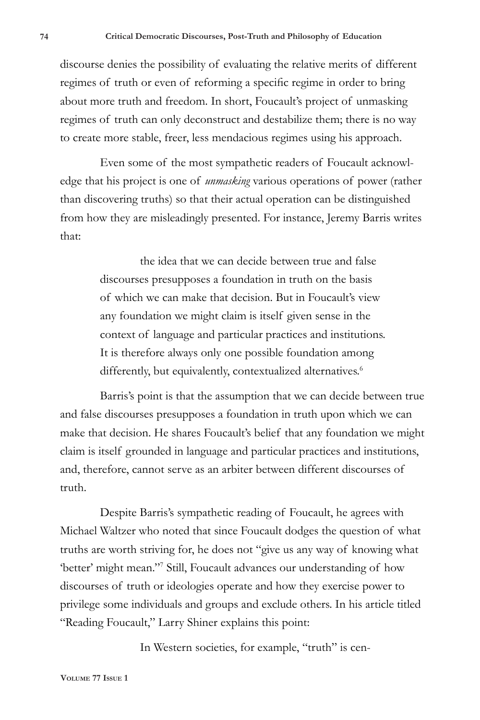discourse denies the possibility of evaluating the relative merits of different regimes of truth or even of reforming a specific regime in order to bring about more truth and freedom. In short, Foucault's project of unmasking regimes of truth can only deconstruct and destabilize them; there is no way to create more stable, freer, less mendacious regimes using his approach.

Even some of the most sympathetic readers of Foucault acknowledge that his project is one of *unmasking* various operations of power (rather than discovering truths) so that their actual operation can be distinguished from how they are misleadingly presented. For instance, Jeremy Barris writes that:

> the idea that we can decide between true and false discourses presupposes a foundation in truth on the basis of which we can make that decision. But in Foucault's view any foundation we might claim is itself given sense in the context of language and particular practices and institutions. It is therefore always only one possible foundation among differently, but equivalently, contextualized alternatives.<sup>6</sup>

Barris's point is that the assumption that we can decide between true and false discourses presupposes a foundation in truth upon which we can make that decision. He shares Foucault's belief that any foundation we might claim is itself grounded in language and particular practices and institutions, and, therefore, cannot serve as an arbiter between different discourses of truth.

Despite Barris's sympathetic reading of Foucault, he agrees with Michael Waltzer who noted that since Foucault dodges the question of what truths are worth striving for, he does not "give us any way of knowing what 'better' might mean."<sup>7</sup> Still, Foucault advances our understanding of how discourses of truth or ideologies operate and how they exercise power to privilege some individuals and groups and exclude others. In his article titled "Reading Foucault," Larry Shiner explains this point:

In Western societies, for example, "truth" is cen-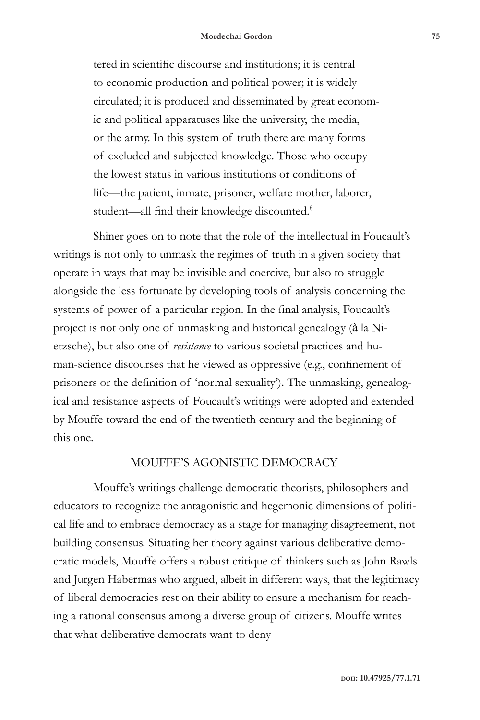tered in scientific discourse and institutions; it is central to economic production and political power; it is widely circulated; it is produced and disseminated by great economic and political apparatuses like the university, the media, or the army. In this system of truth there are many forms of excluded and subjected knowledge. Those who occupy the lowest status in various institutions or conditions of life—the patient, inmate, prisoner, welfare mother, laborer, student—all find their knowledge discounted.<sup>8</sup>

Shiner goes on to note that the role of the intellectual in Foucault's writings is not only to unmask the regimes of truth in a given society that operate in ways that may be invisible and coercive, but also to struggle alongside the less fortunate by developing tools of analysis concerning the systems of power of a particular region. In the final analysis, Foucault's project is not only one of unmasking and historical genealogy (à la Nietzsche), but also one of *resistance* to various societal practices and human-science discourses that he viewed as oppressive (e.g., confinement of prisoners or the definition of 'normal sexuality'). The unmasking, genealogical and resistance aspects of Foucault's writings were adopted and extended by Mouffe toward the end of the twentieth century and the beginning of this one.

## MOUFFE'S AGONISTIC DEMOCRACY

Mouffe's writings challenge democratic theorists, philosophers and educators to recognize the antagonistic and hegemonic dimensions of political life and to embrace democracy as a stage for managing disagreement, not building consensus. Situating her theory against various deliberative democratic models, Mouffe offers a robust critique of thinkers such as John Rawls and Jurgen Habermas who argued, albeit in different ways, that the legitimacy of liberal democracies rest on their ability to ensure a mechanism for reaching a rational consensus among a diverse group of citizens. Mouffe writes that what deliberative democrats want to deny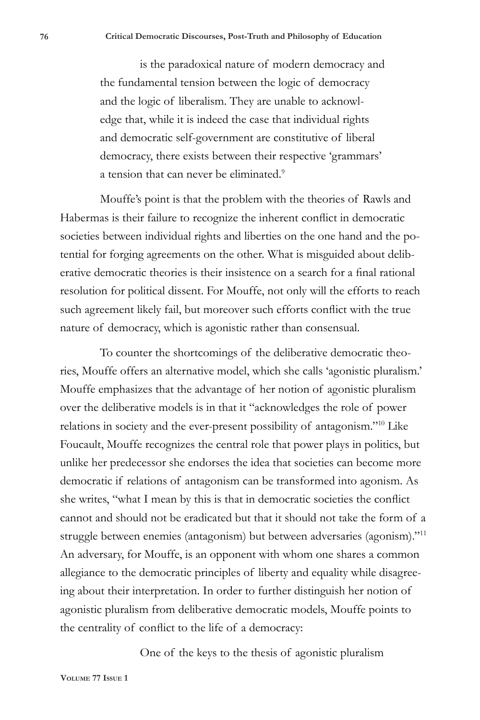is the paradoxical nature of modern democracy and the fundamental tension between the logic of democracy and the logic of liberalism. They are unable to acknowledge that, while it is indeed the case that individual rights and democratic self-government are constitutive of liberal democracy, there exists between their respective 'grammars' a tension that can never be eliminated.<sup>9</sup>

Mouffe's point is that the problem with the theories of Rawls and Habermas is their failure to recognize the inherent conflict in democratic societies between individual rights and liberties on the one hand and the potential for forging agreements on the other. What is misguided about deliberative democratic theories is their insistence on a search for a final rational resolution for political dissent. For Mouffe, not only will the efforts to reach such agreement likely fail, but moreover such efforts conflict with the true nature of democracy, which is agonistic rather than consensual.

To counter the shortcomings of the deliberative democratic theories, Mouffe offers an alternative model, which she calls 'agonistic pluralism.' Mouffe emphasizes that the advantage of her notion of agonistic pluralism over the deliberative models is in that it "acknowledges the role of power relations in society and the ever-present possibility of antagonism."<sup>10</sup> Like Foucault, Mouffe recognizes the central role that power plays in politics, but unlike her predecessor she endorses the idea that societies can become more democratic if relations of antagonism can be transformed into agonism. As she writes, "what I mean by this is that in democratic societies the conflict cannot and should not be eradicated but that it should not take the form of a struggle between enemies (antagonism) but between adversaries (agonism)."11 An adversary, for Mouffe, is an opponent with whom one shares a common allegiance to the democratic principles of liberty and equality while disagreeing about their interpretation. In order to further distinguish her notion of agonistic pluralism from deliberative democratic models, Mouffe points to the centrality of conflict to the life of a democracy:

One of the keys to the thesis of agonistic pluralism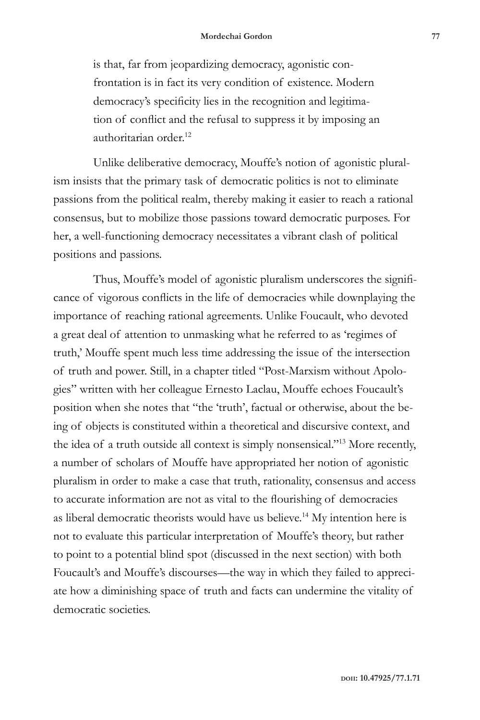is that, far from jeopardizing democracy, agonistic confrontation is in fact its very condition of existence. Modern democracy's specificity lies in the recognition and legitimation of conflict and the refusal to suppress it by imposing an authoritarian order.<sup>12</sup>

Unlike deliberative democracy, Mouffe's notion of agonistic pluralism insists that the primary task of democratic politics is not to eliminate passions from the political realm, thereby making it easier to reach a rational consensus, but to mobilize those passions toward democratic purposes. For her, a well-functioning democracy necessitates a vibrant clash of political positions and passions.

Thus, Mouffe's model of agonistic pluralism underscores the significance of vigorous conflicts in the life of democracies while downplaying the importance of reaching rational agreements. Unlike Foucault, who devoted a great deal of attention to unmasking what he referred to as 'regimes of truth,' Mouffe spent much less time addressing the issue of the intersection of truth and power. Still, in a chapter titled "Post-Marxism without Apologies" written with her colleague Ernesto Laclau, Mouffe echoes Foucault's position when she notes that "the 'truth', factual or otherwise, about the being of objects is constituted within a theoretical and discursive context, and the idea of a truth outside all context is simply nonsensical."13 More recently, a number of scholars of Mouffe have appropriated her notion of agonistic pluralism in order to make a case that truth, rationality, consensus and access to accurate information are not as vital to the flourishing of democracies as liberal democratic theorists would have us believe.14 My intention here is not to evaluate this particular interpretation of Mouffe's theory, but rather to point to a potential blind spot (discussed in the next section) with both Foucault's and Mouffe's discourses—the way in which they failed to appreciate how a diminishing space of truth and facts can undermine the vitality of democratic societies.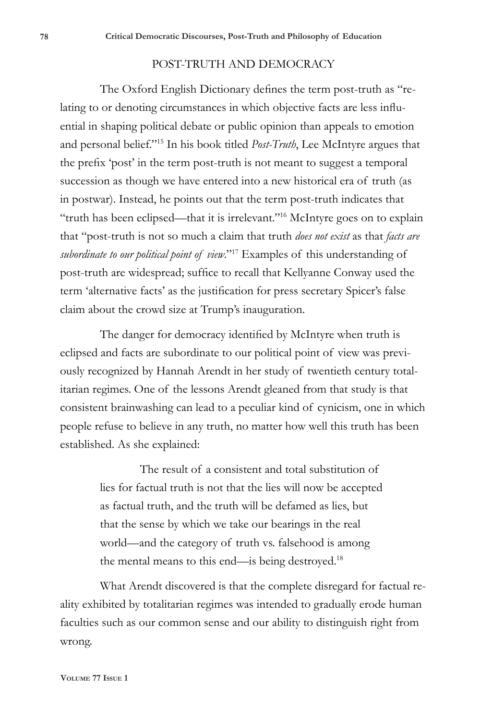#### POST-TRUTH AND DEMOCRACY

The Oxford English Dictionary defines the term post-truth as "relating to or denoting circumstances in which objective facts are less influential in shaping political debate or public opinion than appeals to emotion and personal belief."15 In his book titled *Post-Truth*, Lee McIntyre argues that the prefix 'post' in the term post-truth is not meant to suggest a temporal succession as though we have entered into a new historical era of truth (as in postwar). Instead, he points out that the term post-truth indicates that "truth has been eclipsed—that it is irrelevant."16 McIntyre goes on to explain that "post-truth is not so much a claim that truth *does not exist* as that *facts are subordinate to our political point of view*."17 Examples of this understanding of post-truth are widespread; suffice to recall that Kellyanne Conway used the term 'alternative facts' as the justification for press secretary Spicer's false claim about the crowd size at Trump's inauguration.

The danger for democracy identified by McIntyre when truth is eclipsed and facts are subordinate to our political point of view was previously recognized by Hannah Arendt in her study of twentieth century totalitarian regimes. One of the lessons Arendt gleaned from that study is that consistent brainwashing can lead to a peculiar kind of cynicism, one in which people refuse to believe in any truth, no matter how well this truth has been established. As she explained:

> The result of a consistent and total substitution of lies for factual truth is not that the lies will now be accepted as factual truth, and the truth will be defamed as lies, but that the sense by which we take our bearings in the real world—and the category of truth vs. falsehood is among the mental means to this end—is being destroyed.<sup>18</sup>

What Arendt discovered is that the complete disregard for factual reality exhibited by totalitarian regimes was intended to gradually erode human faculties such as our common sense and our ability to distinguish right from wrong.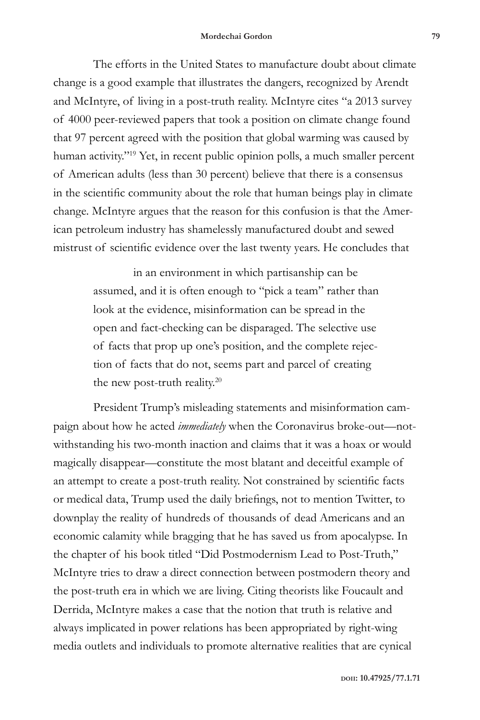The efforts in the United States to manufacture doubt about climate change is a good example that illustrates the dangers, recognized by Arendt and McIntyre, of living in a post-truth reality. McIntyre cites "a 2013 survey of 4000 peer-reviewed papers that took a position on climate change found that 97 percent agreed with the position that global warming was caused by human activity."<sup>19</sup> Yet, in recent public opinion polls, a much smaller percent of American adults (less than 30 percent) believe that there is a consensus in the scientific community about the role that human beings play in climate change. McIntyre argues that the reason for this confusion is that the American petroleum industry has shamelessly manufactured doubt and sewed mistrust of scientific evidence over the last twenty years. He concludes that

> in an environment in which partisanship can be assumed, and it is often enough to "pick a team" rather than look at the evidence, misinformation can be spread in the open and fact-checking can be disparaged. The selective use of facts that prop up one's position, and the complete rejection of facts that do not, seems part and parcel of creating the new post-truth reality.<sup>20</sup>

President Trump's misleading statements and misinformation campaign about how he acted *immediately* when the Coronavirus broke-out—notwithstanding his two-month inaction and claims that it was a hoax or would magically disappear—constitute the most blatant and deceitful example of an attempt to create a post-truth reality. Not constrained by scientific facts or medical data, Trump used the daily briefings, not to mention Twitter, to downplay the reality of hundreds of thousands of dead Americans and an economic calamity while bragging that he has saved us from apocalypse. In the chapter of his book titled "Did Postmodernism Lead to Post-Truth," McIntyre tries to draw a direct connection between postmodern theory and the post-truth era in which we are living. Citing theorists like Foucault and Derrida, McIntyre makes a case that the notion that truth is relative and always implicated in power relations has been appropriated by right-wing media outlets and individuals to promote alternative realities that are cynical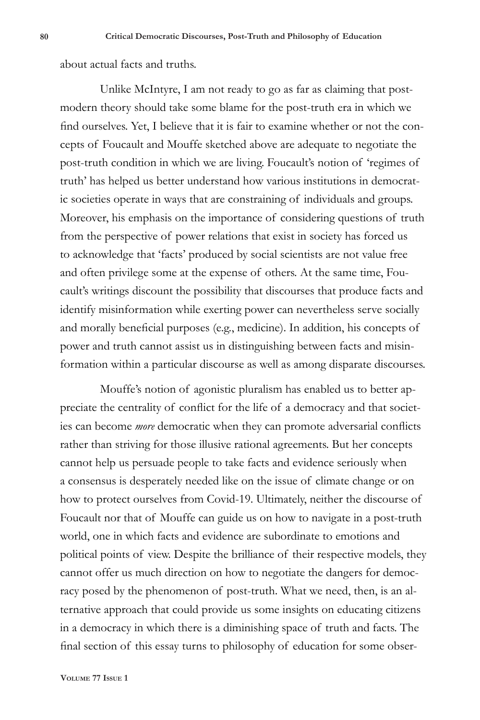about actual facts and truths.

Unlike McIntyre, I am not ready to go as far as claiming that postmodern theory should take some blame for the post-truth era in which we find ourselves. Yet, I believe that it is fair to examine whether or not the concepts of Foucault and Mouffe sketched above are adequate to negotiate the post-truth condition in which we are living. Foucault's notion of 'regimes of truth' has helped us better understand how various institutions in democratic societies operate in ways that are constraining of individuals and groups. Moreover, his emphasis on the importance of considering questions of truth from the perspective of power relations that exist in society has forced us to acknowledge that 'facts' produced by social scientists are not value free and often privilege some at the expense of others. At the same time, Foucault's writings discount the possibility that discourses that produce facts and identify misinformation while exerting power can nevertheless serve socially and morally beneficial purposes (e.g., medicine). In addition, his concepts of power and truth cannot assist us in distinguishing between facts and misinformation within a particular discourse as well as among disparate discourses.

Mouffe's notion of agonistic pluralism has enabled us to better appreciate the centrality of conflict for the life of a democracy and that societies can become *more* democratic when they can promote adversarial conflicts rather than striving for those illusive rational agreements. But her concepts cannot help us persuade people to take facts and evidence seriously when a consensus is desperately needed like on the issue of climate change or on how to protect ourselves from Covid-19. Ultimately, neither the discourse of Foucault nor that of Mouffe can guide us on how to navigate in a post-truth world, one in which facts and evidence are subordinate to emotions and political points of view. Despite the brilliance of their respective models, they cannot offer us much direction on how to negotiate the dangers for democracy posed by the phenomenon of post-truth. What we need, then, is an alternative approach that could provide us some insights on educating citizens in a democracy in which there is a diminishing space of truth and facts. The final section of this essay turns to philosophy of education for some obser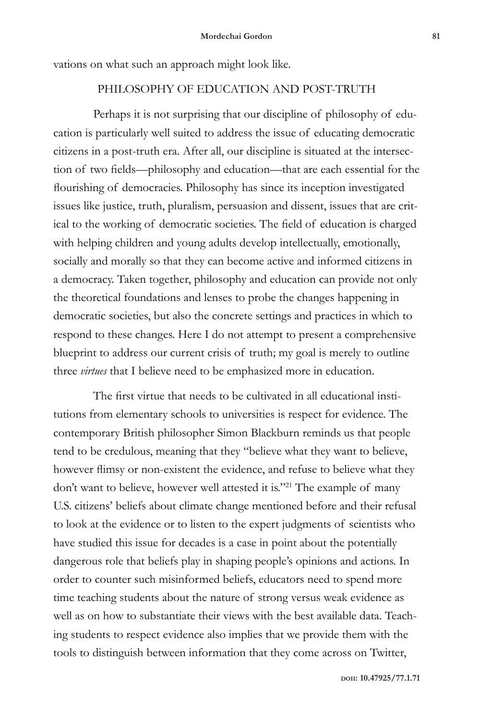vations on what such an approach might look like.

#### PHILOSOPHY OF EDUCATION AND POST-TRUTH

Perhaps it is not surprising that our discipline of philosophy of education is particularly well suited to address the issue of educating democratic citizens in a post-truth era. After all, our discipline is situated at the intersection of two fields—philosophy and education—that are each essential for the flourishing of democracies. Philosophy has since its inception investigated issues like justice, truth, pluralism, persuasion and dissent, issues that are critical to the working of democratic societies. The field of education is charged with helping children and young adults develop intellectually, emotionally, socially and morally so that they can become active and informed citizens in a democracy. Taken together, philosophy and education can provide not only the theoretical foundations and lenses to probe the changes happening in democratic societies, but also the concrete settings and practices in which to respond to these changes. Here I do not attempt to present a comprehensive blueprint to address our current crisis of truth; my goal is merely to outline three *virtues* that I believe need to be emphasized more in education.

The first virtue that needs to be cultivated in all educational institutions from elementary schools to universities is respect for evidence. The contemporary British philosopher Simon Blackburn reminds us that people tend to be credulous, meaning that they "believe what they want to believe, however flimsy or non-existent the evidence, and refuse to believe what they don't want to believe, however well attested it is."<sup>21</sup> The example of many U.S. citizens' beliefs about climate change mentioned before and their refusal to look at the evidence or to listen to the expert judgments of scientists who have studied this issue for decades is a case in point about the potentially dangerous role that beliefs play in shaping people's opinions and actions. In order to counter such misinformed beliefs, educators need to spend more time teaching students about the nature of strong versus weak evidence as well as on how to substantiate their views with the best available data. Teaching students to respect evidence also implies that we provide them with the tools to distinguish between information that they come across on Twitter,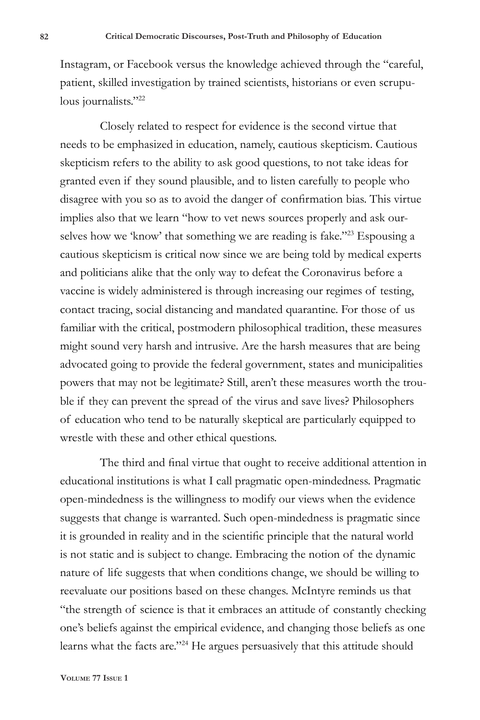Instagram, or Facebook versus the knowledge achieved through the "careful, patient, skilled investigation by trained scientists, historians or even scrupulous journalists."22

Closely related to respect for evidence is the second virtue that needs to be emphasized in education, namely, cautious skepticism. Cautious skepticism refers to the ability to ask good questions, to not take ideas for granted even if they sound plausible, and to listen carefully to people who disagree with you so as to avoid the danger of confirmation bias. This virtue implies also that we learn "how to vet news sources properly and ask ourselves how we 'know' that something we are reading is fake."<sup>23</sup> Espousing a cautious skepticism is critical now since we are being told by medical experts and politicians alike that the only way to defeat the Coronavirus before a vaccine is widely administered is through increasing our regimes of testing, contact tracing, social distancing and mandated quarantine. For those of us familiar with the critical, postmodern philosophical tradition, these measures might sound very harsh and intrusive. Are the harsh measures that are being advocated going to provide the federal government, states and municipalities powers that may not be legitimate? Still, aren't these measures worth the trouble if they can prevent the spread of the virus and save lives? Philosophers of education who tend to be naturally skeptical are particularly equipped to wrestle with these and other ethical questions.

The third and final virtue that ought to receive additional attention in educational institutions is what I call pragmatic open-mindedness. Pragmatic open-mindedness is the willingness to modify our views when the evidence suggests that change is warranted. Such open-mindedness is pragmatic since it is grounded in reality and in the scientific principle that the natural world is not static and is subject to change. Embracing the notion of the dynamic nature of life suggests that when conditions change, we should be willing to reevaluate our positions based on these changes. McIntyre reminds us that "the strength of science is that it embraces an attitude of constantly checking one's beliefs against the empirical evidence, and changing those beliefs as one learns what the facts are."24 He argues persuasively that this attitude should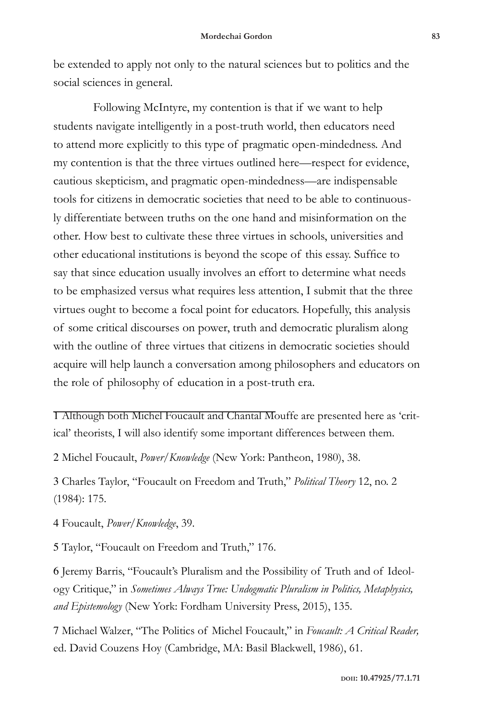be extended to apply not only to the natural sciences but to politics and the social sciences in general.

Following McIntyre, my contention is that if we want to help students navigate intelligently in a post-truth world, then educators need to attend more explicitly to this type of pragmatic open-mindedness. And my contention is that the three virtues outlined here—respect for evidence, cautious skepticism, and pragmatic open-mindedness—are indispensable tools for citizens in democratic societies that need to be able to continuously differentiate between truths on the one hand and misinformation on the other. How best to cultivate these three virtues in schools, universities and other educational institutions is beyond the scope of this essay. Suffice to say that since education usually involves an effort to determine what needs to be emphasized versus what requires less attention, I submit that the three virtues ought to become a focal point for educators. Hopefully, this analysis of some critical discourses on power, truth and democratic pluralism along with the outline of three virtues that citizens in democratic societies should acquire will help launch a conversation among philosophers and educators on the role of philosophy of education in a post-truth era.

1 Although both Michel Foucault and Chantal Mouffe are presented here as 'critical' theorists, I will also identify some important differences between them.

2 Michel Foucault, *Power/Knowledge* (New York: Pantheon, 1980), 38.

3 Charles Taylor, "Foucault on Freedom and Truth," *Political Theory* 12, no. 2 (1984): 175.

4 Foucault, *Power/Knowledge*, 39.

5 Taylor, "Foucault on Freedom and Truth," 176.

6 Jeremy Barris, "Foucault's Pluralism and the Possibility of Truth and of Ideology Critique," in *Sometimes Always True: Undogmatic Pluralism in Politics, Metaphysics, and Epistemology* (New York: Fordham University Press, 2015), 135.

7 Michael Walzer, "The Politics of Michel Foucault," in *Foucault: A Critical Reader,*  ed. David Couzens Hoy (Cambridge, MA: Basil Blackwell, 1986), 61.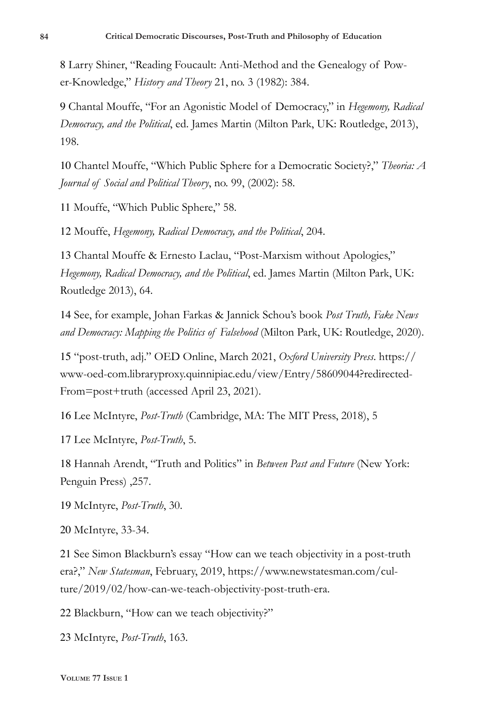8 Larry Shiner, "Reading Foucault: Anti-Method and the Genealogy of Power-Knowledge," *History and Theory* 21, no. 3 (1982): 384.

9 Chantal Mouffe, "For an Agonistic Model of Democracy," in *Hegemony, Radical Democracy, and the Political*, ed. James Martin (Milton Park, UK: Routledge, 2013), 198.

10 Chantel Mouffe, "Which Public Sphere for a Democratic Society?," *Theoria: A Journal of Social and Political Theory*, no. 99, (2002): 58.

11 Mouffe, "Which Public Sphere," 58.

12 Mouffe, *Hegemony, Radical Democracy, and the Political*, 204.

13 Chantal Mouffe & Ernesto Laclau, "Post-Marxism without Apologies," *Hegemony, Radical Democracy, and the Political*, ed. James Martin (Milton Park, UK: Routledge 2013), 64.

14 See, for example, Johan Farkas & Jannick Schou's book *Post Truth, Fake News and Democracy: Mapping the Politics of Falsehood* (Milton Park, UK: Routledge, 2020).

15 "post-truth, adj." OED Online, March 2021, *Oxford University Press*. https:// www-oed-com.libraryproxy.quinnipiac.edu/view/Entry/58609044?redirected-From=post+truth (accessed April 23, 2021).

16 Lee McIntyre, *Post-Truth* (Cambridge, MA: The MIT Press, 2018), 5

17 Lee McIntyre, *Post-Truth*, 5.

18 Hannah Arendt, "Truth and Politics" in *Between Past and Future* (New York: Penguin Press) ,257.

19 McIntyre, *Post-Truth*, 30.

20 McIntyre, 33-34.

21 See Simon Blackburn's essay "How can we teach objectivity in a post-truth era?," *New Statesman*, February, 2019, https://www.newstatesman.com/culture/2019/02/how-can-we-teach-objectivity-post-truth-era.

22 Blackburn, "How can we teach objectivity?"

23 McIntyre, *Post-Truth*, 163.